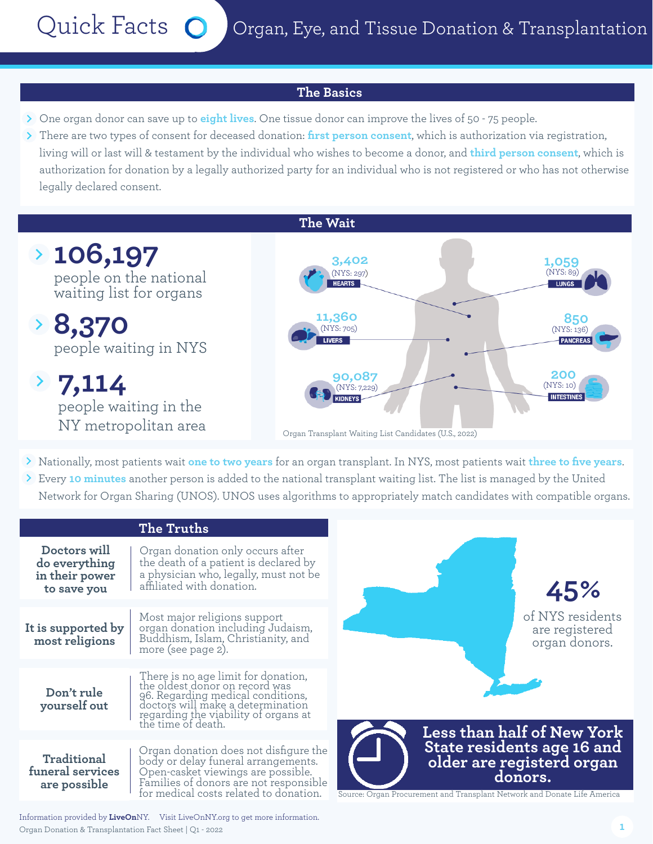Quick Facts O Organ, Eye, and Tissue Donation & Transplantation

## **The Basics**

- One organ donor can save up to **eight lives**. One tissue donor can improve the lives of 50 75 people.
- There are two types of consent for deceased donation: **first person consent**, which is authorization via registration, living will or last will & testament by the individual who wishes to become a donor, and **third person consent**, which is authorization for donation by a legally authorized party for an individual who is not registered or who has not otherwise legally declared consent.



- Nationally, most patients wait **one to two years** for an organ transplant. In NYS, most patients wait **three to five years**.
- Every **10 minutes** another person is added to the national transplant waiting list. The list is managed by the United Network for Organ Sharing (UNOS). UNOS uses algorithms to appropriately match candidates with compatible organs.

| The Truths                                                     |                                                                                                                                                                                                               |
|----------------------------------------------------------------|---------------------------------------------------------------------------------------------------------------------------------------------------------------------------------------------------------------|
| Doctors will<br>do everything<br>in their power<br>to save you | Organ donation only occurs after<br>the death of a patient is declared by<br>a physician who, legally, must not be<br>affiliated with donation.                                                               |
| It is supported by<br>most religions                           | Most major religions support<br>organ donation including Judaism,<br>Buddhism, Islam, Christianity, and<br>more (see page 2).                                                                                 |
| Don't rule<br>yourself out                                     | There is no age limit for donation,<br>the oldest donor on record was<br>96. Regarding medical conditions,<br>doctors will make a determination<br>regarding the viability of organs at<br>the time of death. |
| Traditional<br>funeral services<br>are possible                | Organ donation does not disfigure the<br>body or delay funeral arrangements.<br>Open-casket viewings are possible.<br>Families of donors are not responsible<br>for medical costs related to donation.        |



Source: Organ Procurement and Transplant Network and Donate Life America

Organ Donation & Transplantation Fact Sheet | Q1 - 2022 Information provided by **LiveOn**NY. Visit LiveOnNY.org to get more information.